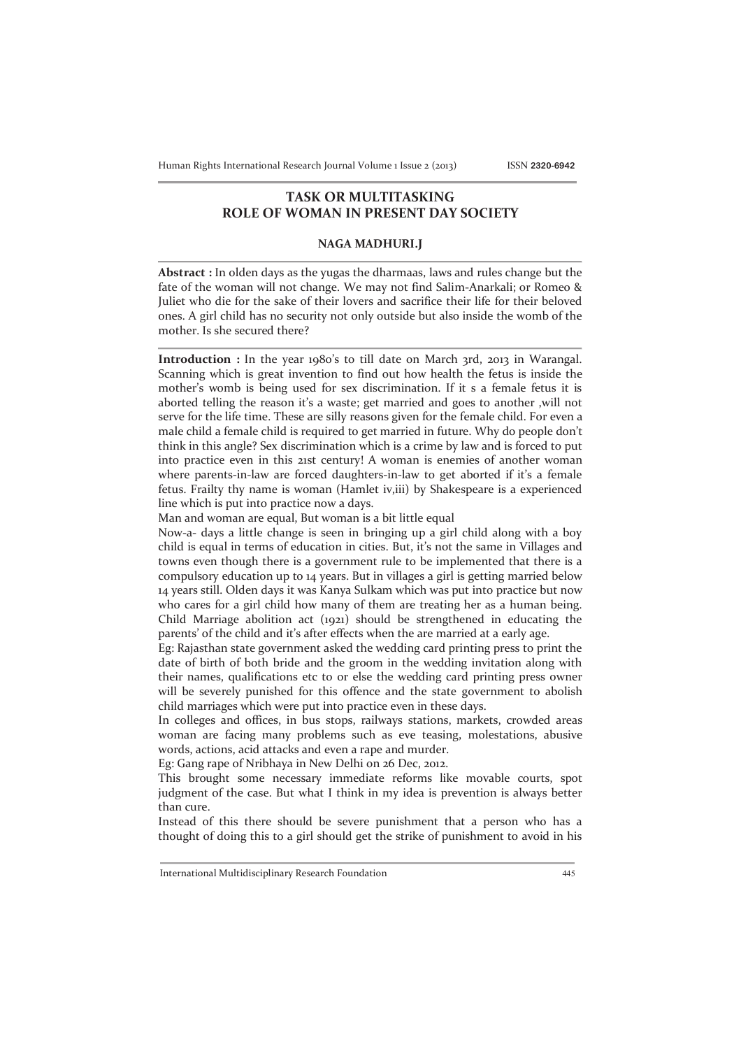## **TASK OR MULTITASKING ROLE OF WOMAN IN PRESENT DAY SOCIETY**

## **NAGA MADHURI.J**

**Abstract :** In olden days as the yugas the dharmaas, laws and rules change but the fate of the woman will not change. We may not find Salim-Anarkali; or Romeo & Juliet who die for the sake of their lovers and sacrifice their life for their beloved ones. A girl child has no security not only outside but also inside the womb of the mother. Is she secured there?

**Introduction :** In the year 1980's to till date on March 3rd, 2013 in Warangal. Scanning which is great invention to find out how health the fetus is inside the mother's womb is being used for sex discrimination. If it s a female fetus it is aborted telling the reason it's a waste; get married and goes to another ,will not serve for the life time. These are silly reasons given for the female child. For even a male child a female child is required to get married in future. Why do people don't think in this angle? Sex discrimination which is a crime by law and is forced to put into practice even in this 21st century! A woman is enemies of another woman where parents-in-law are forced daughters-in-law to get aborted if it's a female fetus. Frailty thy name is woman (Hamlet iv,iii) by Shakespeare is a experienced line which is put into practice now a days.

Man and woman are equal, But woman is a bit little equal

Now-a- days a little change is seen in bringing up a girl child along with a boy child is equal in terms of education in cities. But, it's not the same in Villages and towns even though there is a government rule to be implemented that there is a compulsory education up to 14 years. But in villages a girl is getting married below 14 years still. Olden days it was Kanya Sulkam which was put into practice but now who cares for a girl child how many of them are treating her as a human being. Child Marriage abolition act (1921) should be strengthened in educating the parents' of the child and it's after effects when the are married at a early age.

Eg: Rajasthan state government asked the wedding card printing press to print the date of birth of both bride and the groom in the wedding invitation along with their names, qualifications etc to or else the wedding card printing press owner will be severely punished for this offence and the state government to abolish child marriages which were put into practice even in these days.

In colleges and offices, in bus stops, railways stations, markets, crowded areas woman are facing many problems such as eve teasing, molestations, abusive words, actions, acid attacks and even a rape and murder.

Eg: Gang rape of Nribhaya in New Delhi on 26 Dec, 2012.

This brought some necessary immediate reforms like movable courts, spot judgment of the case. But what I think in my idea is prevention is always better than cure.

Instead of this there should be severe punishment that a person who has a thought of doing this to a girl should get the strike of punishment to avoid in his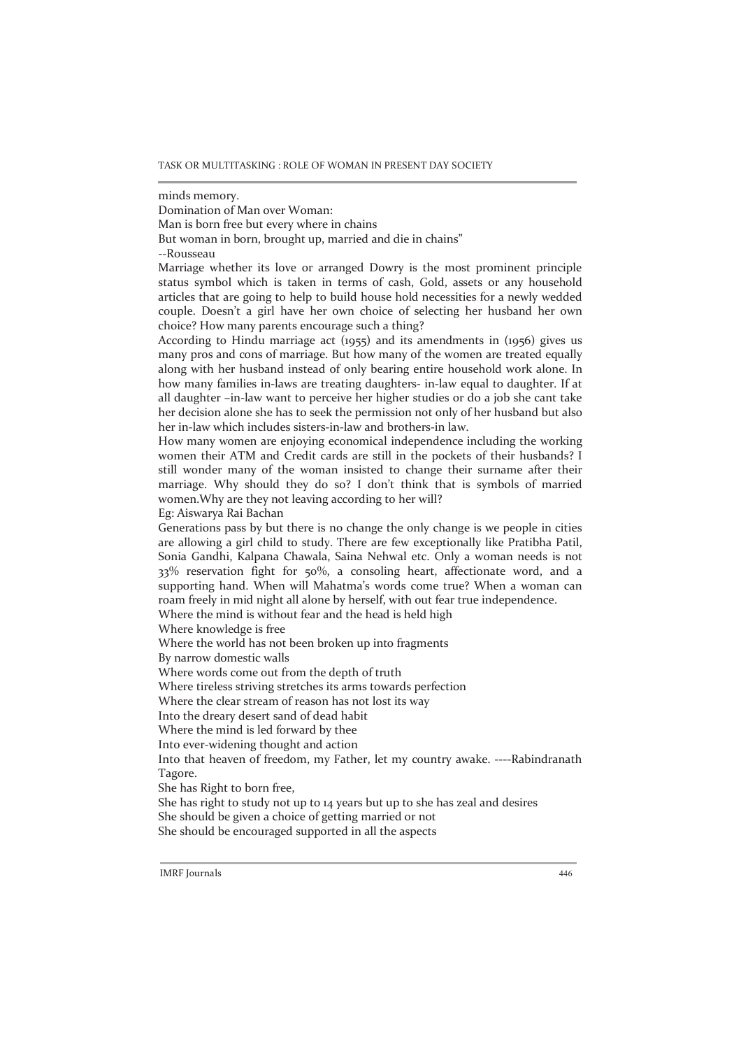minds memory.

Domination of Man over Woman:

Man is born free but every where in chains

But woman in born, brought up, married and die in chains"

--Rousseau

Marriage whether its love or arranged Dowry is the most prominent principle status symbol which is taken in terms of cash, Gold, assets or any household articles that are going to help to build house hold necessities for a newly wedded couple. Doesn't a girl have her own choice of selecting her husband her own choice? How many parents encourage such a thing?

According to Hindu marriage act (1955) and its amendments in (1956) gives us many pros and cons of marriage. But how many of the women are treated equally along with her husband instead of only bearing entire household work alone. In how many families in-laws are treating daughters- in-law equal to daughter. If at all daughter –in-law want to perceive her higher studies or do a job she cant take her decision alone she has to seek the permission not only of her husband but also her in-law which includes sisters-in-law and brothers-in law.

How many women are enjoying economical independence including the working women their ATM and Credit cards are still in the pockets of their husbands? I still wonder many of the woman insisted to change their surname after their marriage. Why should they do so? I don't think that is symbols of married women.Why are they not leaving according to her will?

Eg: Aiswarya Rai Bachan

Generations pass by but there is no change the only change is we people in cities are allowing a girl child to study. There are few exceptionally like Pratibha Patil, Sonia Gandhi, Kalpana Chawala, Saina Nehwal etc. Only a woman needs is not 33% reservation fight for 50%, a consoling heart, affectionate word, and a supporting hand. When will Mahatma's words come true? When a woman can roam freely in mid night all alone by herself, with out fear true independence.

Where the mind is without fear and the head is held high

Where knowledge is free

Where the world has not been broken up into fragments

By narrow domestic walls

Where words come out from the depth of truth

Where tireless striving stretches its arms towards perfection

Where the clear stream of reason has not lost its way

Into the dreary desert sand of dead habit

Where the mind is led forward by thee

Into ever-widening thought and action

Into that heaven of freedom, my Father, let my country awake. ----Rabindranath Tagore.

She has Right to born free,

She has right to study not up to 14 years but up to she has zeal and desires She should be given a choice of getting married or not She should be encouraged supported in all the aspects